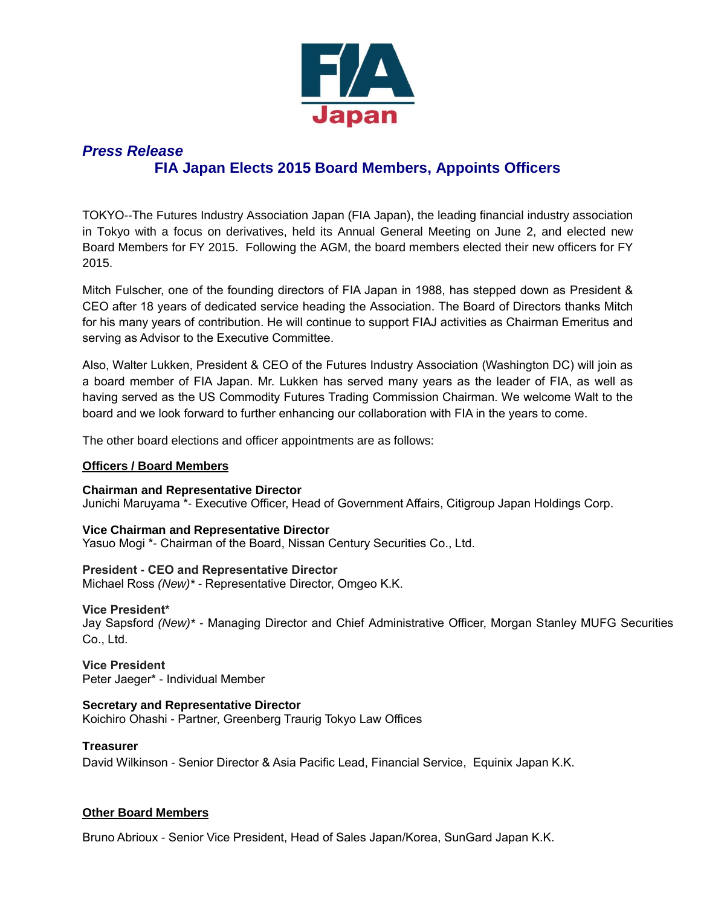

# *Press Release* **FIA Japan Elects 2015 Board Members, Appoints Officers**

TOKYO--The Futures Industry Association Japan (FIA Japan), the leading financial industry association in Tokyo with a focus on derivatives, held its Annual General Meeting on June 2, and elected new Board Members for FY 2015. Following the AGM, the board members elected their new officers for FY 2015.

Mitch Fulscher, one of the founding directors of FIA Japan in 1988, has stepped down as President & CEO after 18 years of dedicated service heading the Association. The Board of Directors thanks Mitch for his many years of contribution. He will continue to support FIAJ activities as Chairman Emeritus and serving as Advisor to the Executive Committee.

Also, Walter Lukken, President & CEO of the Futures Industry Association (Washington DC) will join as a board member of FIA Japan. Mr. Lukken has served many years as the leader of FIA, as well as having served as the US Commodity Futures Trading Commission Chairman. We welcome Walt to the board and we look forward to further enhancing our collaboration with FIA in the years to come.

The other board elections and officer appointments are as follows:

# **Officers / Board Members**

## **Chairman and Representative Director**

Junichi Maruyama \*- Executive Officer, Head of Government Affairs, Citigroup Japan Holdings Corp.

## **Vice Chairman and Representative Director**

Yasuo Mogi \*- Chairman of the Board, Nissan Century Securities Co., Ltd.

## **President - CEO and Representative Director**

Michael Ross *(New)\** - Representative Director, Omgeo K.K.

## **Vice President\***

Jay Sapsford *(New)\** - Managing Director and Chief Administrative Officer, Morgan Stanley MUFG Securities Co., Ltd.

**Vice President** Peter Jaeger\* - Individual Member

**Secretary and Representative Director** Koichiro Ohashi - Partner, Greenberg Traurig Tokyo Law Offices

**Treasurer**

David Wilkinson - Senior Director & Asia Pacific Lead, Financial Service, Equinix Japan K.K.

## **Other Board Members**

Bruno Abrioux - Senior Vice President, Head of Sales Japan/Korea, SunGard Japan K.K.